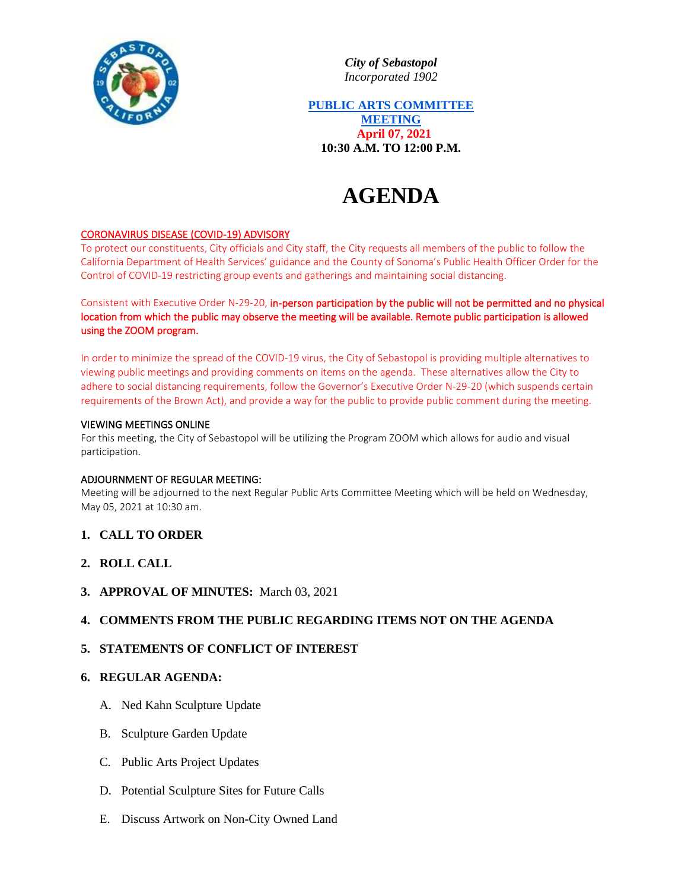

*City of Sebastopol Incorporated 1902*

**PUBLIC ARTS COMMITTEE MEETING April 07, 2021 10:30 A.M. TO 12:00 P.M.**

# **AGENDA**

## CORONAVIRUS DISEASE (COVID-19) ADVISORY

To protect our constituents, City officials and City staff, the City requests all members of the public to follow the California Department of Health Services' guidance and the County of Sonoma's Public Health Officer Order for the Control of COVID-19 restricting group events and gatherings and maintaining social distancing.

Consistent with Executive Order N-29-20, in-person participation by the public will not be permitted and no physical location from which the public may observe the meeting will be available. Remote public participation is allowed using the ZOOM program.

In order to minimize the spread of the COVID-19 virus, the City of Sebastopol is providing multiple alternatives to viewing public meetings and providing comments on items on the agenda. These alternatives allow the City to adhere to social distancing requirements, follow the Governor's Executive Order N-29-20 (which suspends certain requirements of the Brown Act), and provide a way for the public to provide public comment during the meeting.

#### VIEWING MEETINGS ONLINE

For this meeting, the City of Sebastopol will be utilizing the Program ZOOM which allows for audio and visual participation.

#### ADJOURNMENT OF REGULAR MEETING:

Meeting will be adjourned to the next Regular Public Arts Committee Meeting which will be held on Wednesday, May 05, 2021 at 10:30 am.

- **1. CALL TO ORDER**
- **2. ROLL CALL**
- **3. APPROVAL OF MINUTES:** March 03, 2021

## **4. COMMENTS FROM THE PUBLIC REGARDING ITEMS NOT ON THE AGENDA**

## **5. STATEMENTS OF CONFLICT OF INTEREST**

#### **6. REGULAR AGENDA:**

- A. Ned Kahn Sculpture Update
- B. Sculpture Garden Update
- C. Public Arts Project Updates
- D. Potential Sculpture Sites for Future Calls
- E. Discuss Artwork on Non-City Owned Land